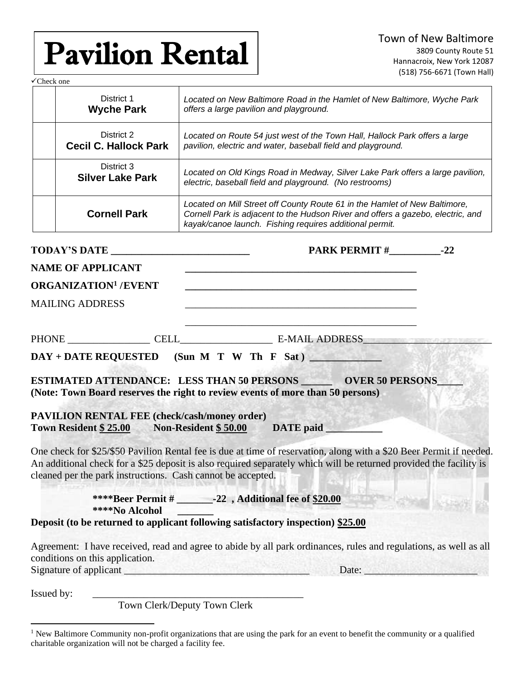# Pavilion Rental

✓Check one District 1 **Wyche Park** *Located on New Baltimore Road in the Hamlet of New Baltimore, Wyche Park offers a large pavilion and playground.* District 2 **Cecil C. Hallock Park** *Located on Route 54 just west of the Town Hall, Hallock Park offers a large pavilion, electric and water, baseball field and playground.*  District 3 **Silver Lake Park** *Located on Old Kings Road in Medway, Silver Lake Park offers a large pavilion, electric, baseball field and playground. (No restrooms)* **Cornell Park** *Located on Mill Street off County Route 61 in the Hamlet of New Baltimore, Cornell Park is adjacent to the Hudson River and offers a gazebo, electric, and kayak/canoe launch. Fishing requires additional permit.*  **TODAY'S DATE \_\_\_\_\_\_\_\_\_\_\_\_\_\_\_\_\_\_\_\_\_\_\_\_\_\_\_ PARK PERMIT #\_\_\_\_\_\_\_\_\_\_-22 NAME OF APPLICANT \_\_\_\_\_\_\_\_\_\_\_\_\_\_\_\_\_\_\_\_\_\_\_\_\_\_\_\_\_\_\_\_\_\_\_\_\_\_\_\_\_\_\_\_\_ ORGANIZATION<sup>1</sup> /EVENT \_\_\_\_\_\_\_\_\_\_\_\_\_\_\_\_\_\_\_\_\_\_\_\_\_\_\_\_\_\_\_\_\_\_\_\_\_\_\_\_\_\_\_\_\_** MAILING ADDRESS \_\_\_\_\_\_\_\_\_\_\_\_\_\_\_\_\_\_\_\_\_\_\_\_\_\_\_\_\_\_\_\_\_\_\_\_\_\_\_\_\_\_\_\_\_ PHONE \_\_\_\_\_\_\_\_\_\_\_\_\_\_\_\_ CELL\_\_\_\_\_\_\_\_\_\_\_\_\_\_\_\_\_\_ E-MAIL ADDRESS\_\_\_\_\_\_\_\_\_\_\_\_\_\_\_\_\_\_\_\_\_\_\_\_\_ DAY + DATE REQUESTED (Sun M T W Th F Sat) **ESTIMATED ATTENDANCE: LESS THAN 50 PERSONS \_\_\_\_\_\_\_ OVER 50 PERSONS\_\_\_ (Note: Town Board reserves the right to review events of more than 50 persons) PAVILION RENTAL FEE (check/cash/money order)**  Town Resident \$ 25.00 Non-Resident \$ 50.00 DATE paid One check for \$25/\$50 Pavilion Rental fee is due at time of reservation, along with a \$20 Beer Permit if needed. An additional check for a \$25 deposit is also required separately which will be returned provided the facility is cleaned per the park instructions. Cash cannot be accepted.  **\*\*\*\*Beer Permit # \_\_\_\_\_\_\_-22 , Additional fee of \$20.00 \*\*\*\*No Alcohol \_\_\_\_\_\_\_ Deposit (to be returned to applicant following satisfactory inspection) \$25.00** Agreement: I have received, read and agree to abide by all park ordinances, rules and regulations, as well as all conditions on this application. Signature of applicant \_\_\_\_\_\_\_\_\_\_\_\_\_\_\_\_\_\_\_\_\_\_\_\_\_\_\_\_\_\_\_\_\_\_\_\_ Date: \_\_\_\_\_\_\_\_\_\_\_\_\_\_\_\_\_\_\_\_\_\_ Issued by: Town Clerk/Deputy Town Clerk

<sup>&</sup>lt;sup>1</sup> New Baltimore Community non-profit organizations that are using the park for an event to benefit the community or a qualified charitable organization will not be charged a facility fee.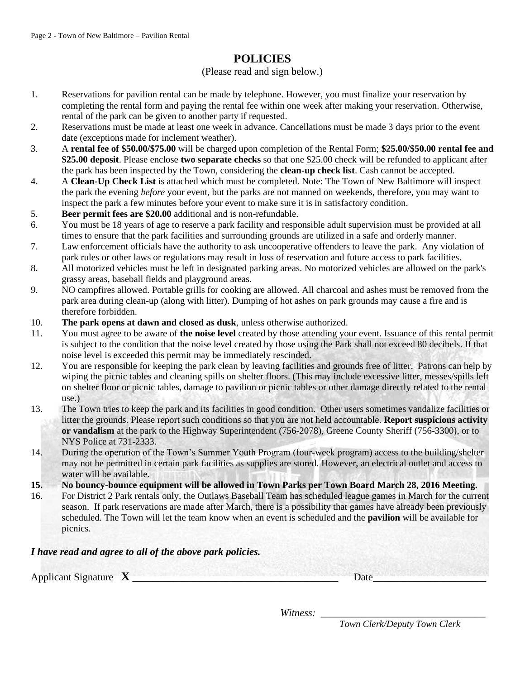### **POLICIES**

#### (Please read and sign below.)

- 1. Reservations for pavilion rental can be made by telephone. However, you must finalize your reservation by completing the rental form and paying the rental fee within one week after making your reservation. Otherwise, rental of the park can be given to another party if requested.
- 2. Reservations must be made at least one week in advance. Cancellations must be made 3 days prior to the event date (exceptions made for inclement weather).
- 3. A **rental fee of \$50.00/\$75.00** will be charged upon completion of the Rental Form; **\$25.00/\$50.00 rental fee and \$25.00 deposit**. Please enclose **two separate checks** so that one \$25.00 check will be refunded to applicant after the park has been inspected by the Town, considering the **clean-up check list**. Cash cannot be accepted.
- 4. A **Clean-Up Check List** is attached which must be completed. Note: The Town of New Baltimore will inspect the park the evening *before* your event, but the parks are not manned on weekends, therefore, you may want to inspect the park a few minutes before your event to make sure it is in satisfactory condition.
- 5. **Beer permit fees are \$20.00** additional and is non-refundable.
- 6. You must be 18 years of age to reserve a park facility and responsible adult supervision must be provided at all times to ensure that the park facilities and surrounding grounds are utilized in a safe and orderly manner.
- 7. Law enforcement officials have the authority to ask uncooperative offenders to leave the park. Any violation of park rules or other laws or regulations may result in loss of reservation and future access to park facilities.
- 8. All motorized vehicles must be left in designated parking areas. No motorized vehicles are allowed on the park's grassy areas, baseball fields and playground areas.
- 9. NO campfires allowed. Portable grills for cooking are allowed. All charcoal and ashes must be removed from the park area during clean-up (along with litter). Dumping of hot ashes on park grounds may cause a fire and is therefore forbidden.
- 10. **The park opens at dawn and closed as dusk**, unless otherwise authorized.
- 11. You must agree to be aware of **the noise level** created by those attending your event. Issuance of this rental permit is subject to the condition that the noise level created by those using the Park shall not exceed 80 decibels. If that noise level is exceeded this permit may be immediately rescinded.
- 12. You are responsible for keeping the park clean by leaving facilities and grounds free of litter. Patrons can help by wiping the picnic tables and cleaning spills on shelter floors. (This may include excessive litter, messes/spills left on shelter floor or picnic tables, damage to pavilion or picnic tables or other damage directly related to the rental use.)
- 13. The Town tries to keep the park and its facilities in good condition. Other users sometimes vandalize facilities or litter the grounds. Please report such conditions so that you are not held accountable. **Report suspicious activity or vandalism** at the park to the Highway Superintendent (756-2078), Greene County Sheriff (756-3300), or to NYS Police at 731-2333.
- 14. During the operation of the Town's Summer Youth Program (four-week program) access to the building/shelter may not be permitted in certain park facilities as supplies are stored. However, an electrical outlet and access to water will be available.
- **15. No bouncy-bounce equipment will be allowed in Town Parks per Town Board March 28, 2016 Meeting.**
- 16. For District 2 Park rentals only, the Outlaws Baseball Team has scheduled league games in March for the current season. If park reservations are made after March, there is a possibility that games have already been previously scheduled. The Town will let the team know when an event is scheduled and the **pavilion** will be available for picnics.

#### *I have read and agree to all of the above park policies.*

Applicant Signature **X** \_\_\_\_\_\_\_\_\_\_\_\_\_\_\_\_\_\_\_\_\_\_\_\_\_\_\_\_\_\_\_\_\_\_\_\_\_\_\_\_ Date\_\_\_\_\_\_\_\_\_\_\_\_\_\_\_\_\_\_\_\_\_\_

*Witness:* 

*Town Clerk/Deputy Town Clerk*